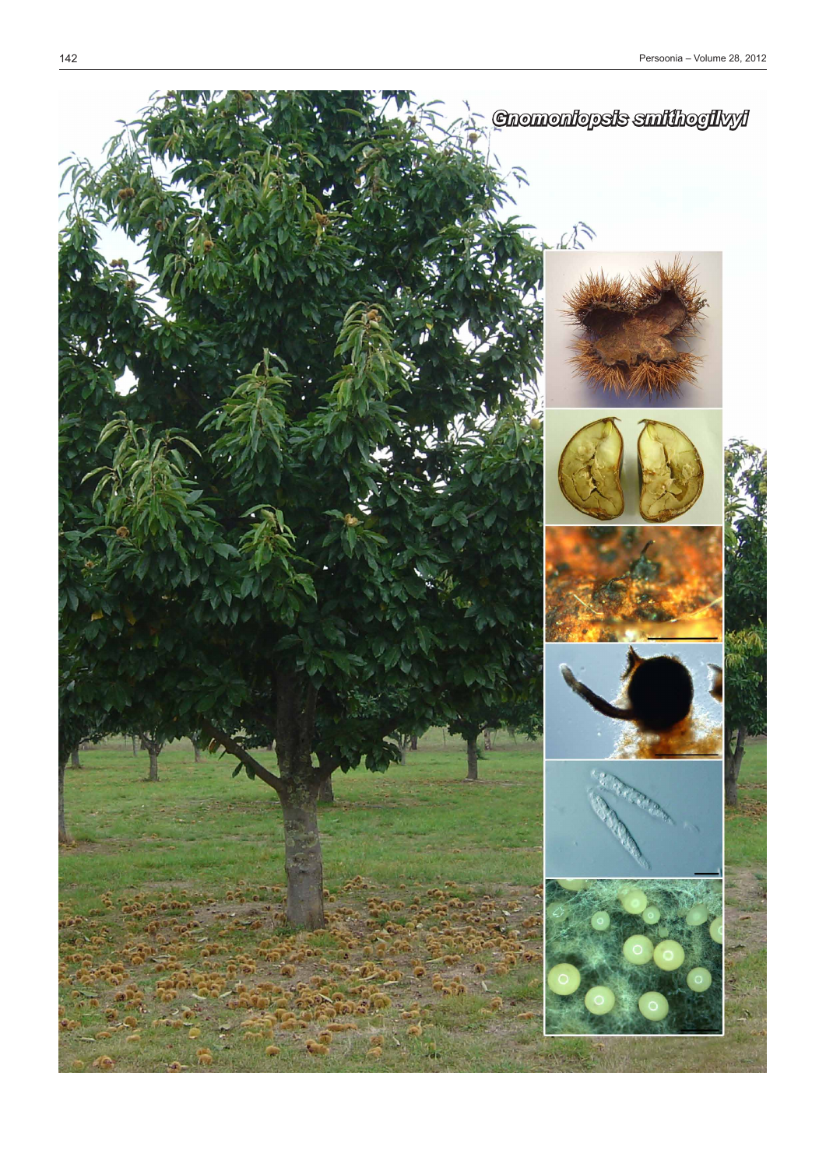